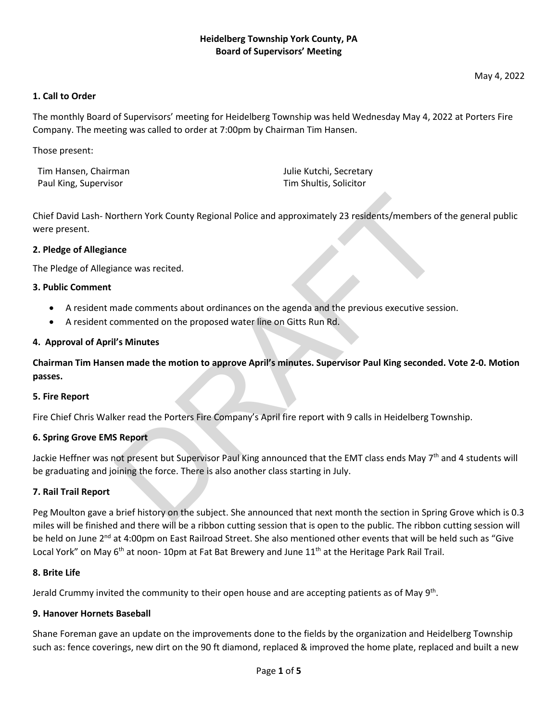May 4, 2022

## **1. Call to Order**

The monthly Board of Supervisors' meeting for Heidelberg Township was held Wednesday May 4, 2022 at Porters Fire Company. The meeting was called to order at 7:00pm by Chairman Tim Hansen.

Those present:

Tim Hansen, Chairman Julie Kutchi, Secretary Paul King, Supervisor Tim Shultis, Solicitor Channels And Tim Shultis, Solicitor

Chief David Lash- Northern York County Regional Police and approximately 23 residents/members of the general public were present. by the Machinery York County Regional Police and approximately 23 residents/members of<br>
nece<br>
ance was recited.<br>
ande comments about ordinances on the agenda and the previous executive sessi<br>
dimension of the proposed wate

### **2. Pledge of Allegiance**

The Pledge of Allegiance was recited.

## **3. Public Comment**

- A resident made comments about ordinances on the agenda and the previous executive session.
- A resident commented on the proposed water line on Gitts Run Rd.

### **4. Approval of April's Minutes**

**Chairman Tim Hansen made the motion to approve April's minutes. Supervisor Paul King seconded. Vote 2-0. Motion passes.**

### **5. Fire Report**

Fire Chief Chris Walker read the Porters Fire Company's April fire report with 9 calls in Heidelberg Township.

## **6. Spring Grove EMS Report**

Jackie Heffner was not present but Supervisor Paul King announced that the EMT class ends May 7<sup>th</sup> and 4 students will be graduating and joining the force. There is also another class starting in July.

### **7. Rail Trail Report**

Peg Moulton gave a brief history on the subject. She announced that next month the section in Spring Grove which is 0.3 miles will be finished and there will be a ribbon cutting session that is open to the public. The ribbon cutting session will be held on June 2<sup>nd</sup> at 4:00pm on East Railroad Street. She also mentioned other events that will be held such as "Give Local York" on May 6<sup>th</sup> at noon-10pm at Fat Bat Brewery and June 11<sup>th</sup> at the Heritage Park Rail Trail.

### **8. Brite Life**

Jerald Crummy invited the community to their open house and are accepting patients as of May 9th.

### **9. Hanover Hornets Baseball**

Shane Foreman gave an update on the improvements done to the fields by the organization and Heidelberg Township such as: fence coverings, new dirt on the 90 ft diamond, replaced & improved the home plate, replaced and built a new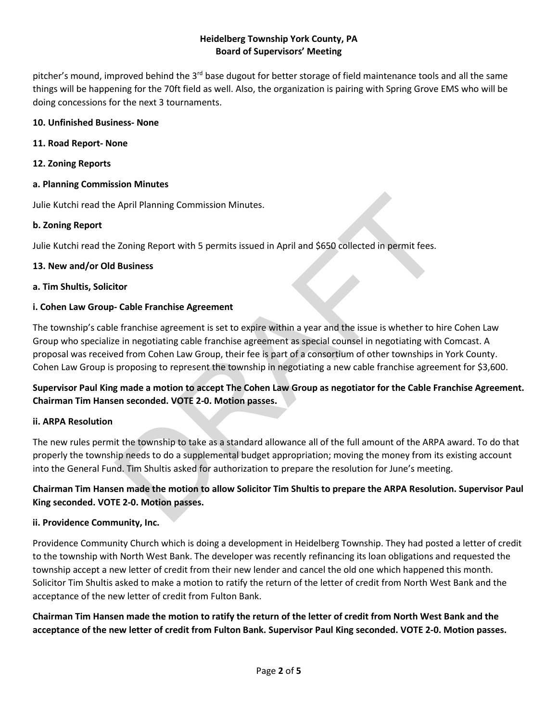pitcher's mound, improved behind the 3<sup>rd</sup> base dugout for better storage of field maintenance tools and all the same things will be happening for the 70ft field as well. Also, the organization is pairing with Spring Grove EMS who will be doing concessions for the next 3 tournaments.

## **10. Unfinished Business- None**

### **11. Road Report- None**

**12. Zoning Reports**

## **a. Planning Commission Minutes**

Julie Kutchi read the April Planning Commission Minutes.

## **b. Zoning Report**

Julie Kutchi read the Zoning Report with 5 permits issued in April and \$650 collected in permit fees.

## **13. New and/or Old Business**

## **a. Tim Shultis, Solicitor**

## **i. Cohen Law Group- Cable Franchise Agreement**

The township's cable franchise agreement is set to expire within a year and the issue is whether to hire Cohen Law Group who specialize in negotiating cable franchise agreement as special counsel in negotiating with Comcast. A proposal was received from Cohen Law Group, their fee is part of a consortium of other townships in York County. Cohen Law Group is proposing to represent the township in negotiating a new cable franchise agreement for \$3,600. DRAFT

## **Supervisor Paul King made a motion to accept The Cohen Law Group as negotiator for the Cable Franchise Agreement. Chairman Tim Hansen seconded. VOTE 2-0. Motion passes.**

## **ii. ARPA Resolution**

The new rules permit the township to take as a standard allowance all of the full amount of the ARPA award. To do that properly the township needs to do a supplemental budget appropriation; moving the money from its existing account into the General Fund. Tim Shultis asked for authorization to prepare the resolution for June's meeting.

## **Chairman Tim Hansen made the motion to allow Solicitor Tim Shultis to prepare the ARPA Resolution. Supervisor Paul King seconded. VOTE 2-0. Motion passes.**

## **ii. Providence Community, Inc.**

Providence Community Church which is doing a development in Heidelberg Township. They had posted a letter of credit to the township with North West Bank. The developer was recently refinancing its loan obligations and requested the township accept a new letter of credit from their new lender and cancel the old one which happened this month. Solicitor Tim Shultis asked to make a motion to ratify the return of the letter of credit from North West Bank and the acceptance of the new letter of credit from Fulton Bank.

**Chairman Tim Hansen made the motion to ratify the return of the letter of credit from North West Bank and the acceptance of the new letter of credit from Fulton Bank. Supervisor Paul King seconded. VOTE 2-0. Motion passes.**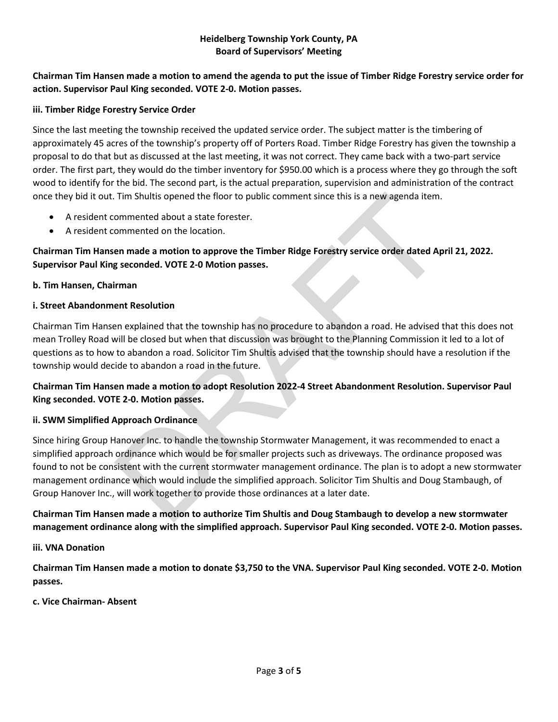## **Chairman Tim Hansen made a motion to amend the agenda to put the issue of Timber Ridge Forestry service order for action. Supervisor Paul King seconded. VOTE 2-0. Motion passes.**

### **iii. Timber Ridge Forestry Service Order**

Since the last meeting the township received the updated service order. The subject matter is the timbering of approximately 45 acres of the township's property off of Porters Road. Timber Ridge Forestry has given the township a proposal to do that but as discussed at the last meeting, it was not correct. They came back with a two-part service order. The first part, they would do the timber inventory for \$950.00 which is a process where they go through the soft wood to identify for the bid. The second part, is the actual preparation, supervision and administration of the contract once they bid it out. Tim Shultis opened the floor to public comment since this is a new agenda item.

- A resident commented about a state forester.
- A resident commented on the location.

## **Chairman Tim Hansen made a motion to approve the Timber Ridge Forestry service order dated April 21, 2022. Supervisor Paul King seconded. VOTE 2-0 Motion passes.**

## **b. Tim Hansen, Chairman**

## **i. Street Abandonment Resolution**

Chairman Tim Hansen explained that the township has no procedure to abandon a road. He advised that this does not mean Trolley Road will be closed but when that discussion was brought to the Planning Commission it led to a lot of questions as to how to abandon a road. Solicitor Tim Shultis advised that the township should have a resolution if the township would decide to abandon a road in the future.

## **Chairman Tim Hansen made a motion to adopt Resolution 2022-4 Street Abandonment Resolution. Supervisor Paul King seconded. VOTE 2-0. Motion passes.**

### **ii. SWM Simplified Approach Ordinance**

Since hiring Group Hanover Inc. to handle the township Stormwater Management, it was recommended to enact a simplified approach ordinance which would be for smaller projects such as driveways. The ordinance proposed was found to not be consistent with the current stormwater management ordinance. The plan is to adopt a new stormwater management ordinance which would include the simplified approach. Solicitor Tim Shultis and Doug Stambaugh, of Group Hanover Inc., will work together to provide those ordinances at a later date. Tim Shultis opened the floor to public comment since this is a new agenda item.<br>
ommented about a state forester.<br>
ommented on the location.<br>
en made a motion to approve the Timber Ridge Forestry service order dated Ap<br>
ge

## **Chairman Tim Hansen made a motion to authorize Tim Shultis and Doug Stambaugh to develop a new stormwater management ordinance along with the simplified approach. Supervisor Paul King seconded. VOTE 2-0. Motion passes.**

### **iii. VNA Donation**

**Chairman Tim Hansen made a motion to donate \$3,750 to the VNA. Supervisor Paul King seconded. VOTE 2-0. Motion passes.**

### **c. Vice Chairman- Absent**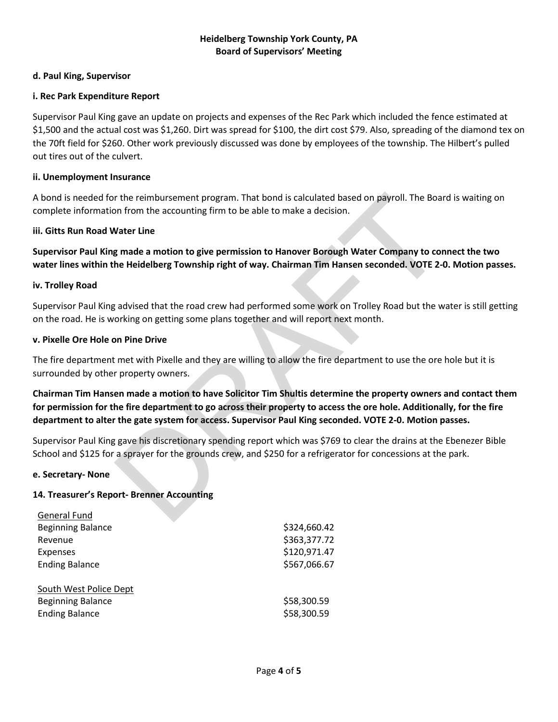### **d. Paul King, Supervisor**

### **i. Rec Park Expenditure Report**

Supervisor Paul King gave an update on projects and expenses of the Rec Park which included the fence estimated at \$1,500 and the actual cost was \$1,260. Dirt was spread for \$100, the dirt cost \$79. Also, spreading of the diamond tex on the 70ft field for \$260. Other work previously discussed was done by employees of the township. The Hilbert's pulled out tires out of the culvert.

#### **ii. Unemployment Insurance**

A bond is needed for the reimbursement program. That bond is calculated based on payroll. The Board is waiting on complete information from the accounting firm to be able to make a decision.

#### **iii. Gitts Run Road Water Line**

**Supervisor Paul King made a motion to give permission to Hanover Borough Water Company to connect the two water lines within the Heidelberg Township right of way. Chairman Tim Hansen seconded. VOTE 2-0. Motion passes.**

#### **iv. Trolley Road**

Supervisor Paul King advised that the road crew had performed some work on Trolley Road but the water is still getting on the road. He is working on getting some plans together and will report next month.

#### **v. Pixelle Ore Hole on Pine Drive**

The fire department met with Pixelle and they are willing to allow the fire department to use the ore hole but it is surrounded by other property owners.

**Chairman Tim Hansen made a motion to have Solicitor Tim Shultis determine the property owners and contact them for permission for the fire department to go across their property to access the ore hole. Additionally, for the fire department to alter the gate system for access. Supervisor Paul King seconded. VOTE 2-0. Motion passes.** r the reimbursement program. That bond is calculated based on payroll. The Boar<br>on from the accounting firm to be able to make a decision.<br>Water Line<br>grade a motion to give permission to Hanover Borough Water Company to co

Supervisor Paul King gave his discretionary spending report which was \$769 to clear the drains at the Ebenezer Bible School and \$125 for a sprayer for the grounds crew, and \$250 for a refrigerator for concessions at the park.

#### **e. Secretary- None**

### **14. Treasurer's Report- Brenner Accounting**

| General Fund             |              |
|--------------------------|--------------|
| <b>Beginning Balance</b> | \$324,660.42 |
| Revenue                  | \$363,377.72 |
| <b>Expenses</b>          | \$120,971.47 |
| <b>Ending Balance</b>    | \$567,066.67 |
| South West Police Dept   |              |
| <b>Beginning Balance</b> | \$58,300.59  |
| <b>Ending Balance</b>    | \$58,300.59  |